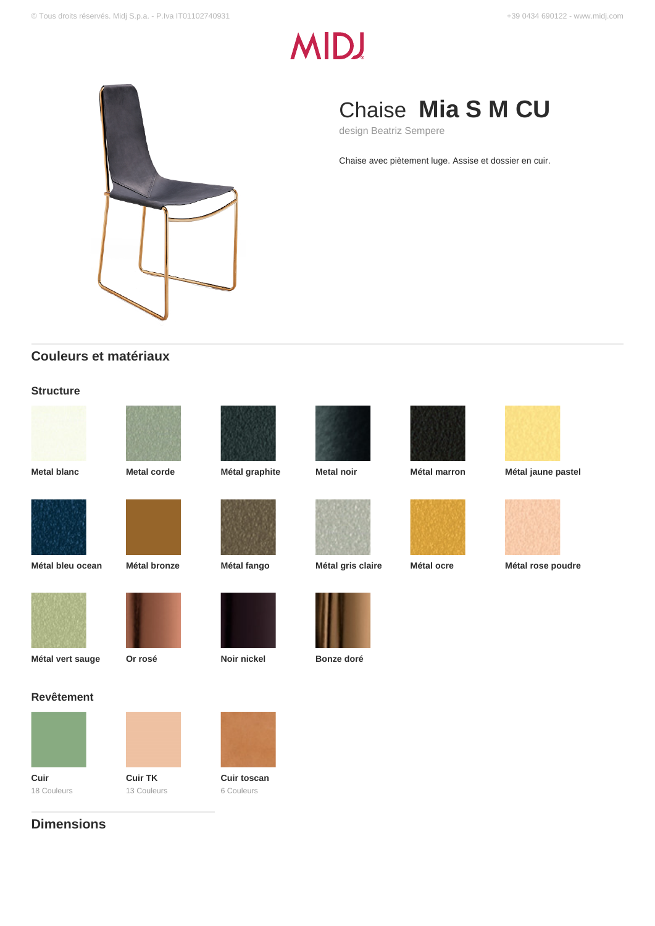# **MIDJ**



## Chaise **Mia S M CU**

design Beatriz Sempere

Chaise avec piètement luge. Assise et dossier en cuir.

## **Couleurs et matériaux**

#### **Structure**















**Metal blanc Metal corde Métal graphite Metal noir Métal marron Métal jaune pastel**









**Métal vert sauge Or rosé Noir nickel Bonze doré**

#### **Revêtement**



18 Couleurs

**Dimensions**



**Cuir TK** 13 Couleurs



**Cuir toscan** 6 Couleurs









**Métal bleu ocean Métal bronze Métal fango Métal gris claire Métal ocre Métal rose poudre**





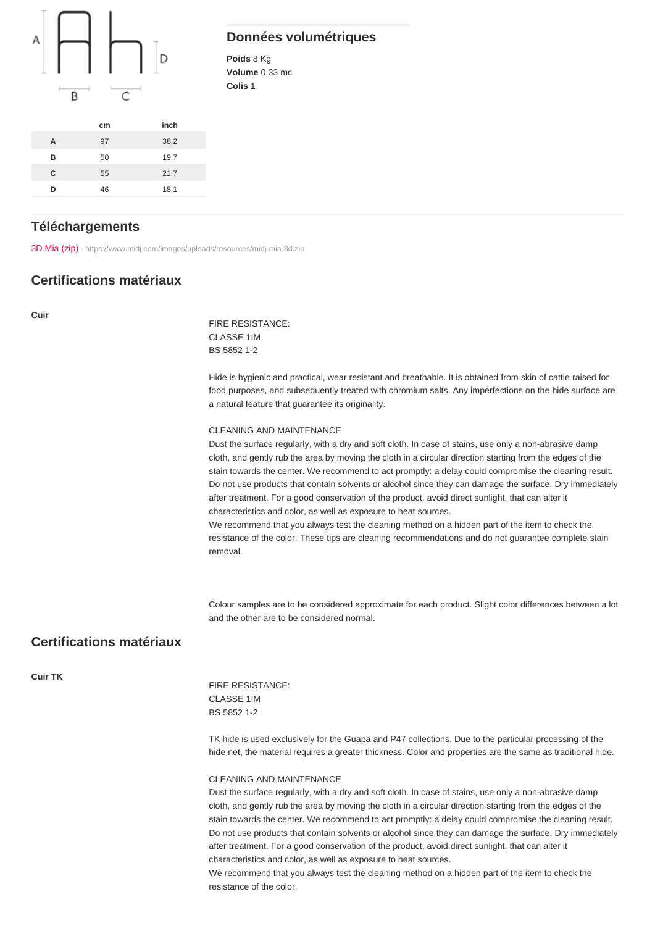#### Données volumétriques

Poids 8 Kg Volume 0.33 mc Colis 1

|   | cm | inch |
|---|----|------|
| A | 97 | 38.2 |
| B | 50 | 19.7 |
| C | 55 | 21.7 |
| n | 46 | 18.1 |

#### **Téléchargements**

[3D Mia \(zip\)](https://www.midj.com/images/uploads/resources/midj-mia-3d.zip) [- https://www.midj.com/images/uploads/resources/midj-mia-3d.zip](https://www.midj.com/images/uploads/resources/midj-mia-3d.zip)

#### Certifications matériaux

Cuir

FIRE RESISTANCE: CLASSE 1IM BS 5852 1-2

Hide is hygienic and practical, wear resistant and breathable. It is obtained from skin of cattle raised for food purposes, and subsequently treated with chromium salts. Any imperfections on the hide surface are a natural feature that guarantee its originality.

#### CLEANING AND MAINTENANCE

Dust the surface regularly, with a dry and soft cloth. In case of stains, use only a non-abrasive damp cloth, and gently rub the area by moving the cloth in a circular direction starting from the edges of the stain towards the center. We recommend to act promptly: a delay could compromise the cleaning result. Do not use products that contain solvents or alcohol since they can damage the surface. Dry immediately after treatment. For a good conservation of the product, avoid direct sunlight, that can alter it characteristics and color, as well as exposure to heat sources.

We recommend that you always test the cleaning method on a hidden part of the item to check the resistance of the color. These tips are cleaning recommendations and do not guarantee complete stain removal.

Colour samples are to be considered approximate for each product. Slight color differences between a lot and the other are to be considered normal.

### Certifications matériaux

Cuir TK

FIRE RESISTANCE: CLASSE 1IM BS 5852 1-2

TK hide is used exclusively for the Guapa and P47 collections. Due to the particular processing of the hide net, the material requires a greater thickness. Color and properties are the same as traditional hide.

#### CLEANING AND MAINTENANCE

Dust the surface regularly, with a dry and soft cloth. In case of stains, use only a non-abrasive damp cloth, and gently rub the area by moving the cloth in a circular direction starting from the edges of the stain towards the center. We recommend to act promptly: a delay could compromise the cleaning result. Do not use products that contain solvents or alcohol since they can damage the surface. Dry immediately after treatment. For a good conservation of the product, avoid direct sunlight, that can alter it characteristics and color, as well as exposure to heat sources.

We recommend that you always test the cleaning method on a hidden part of the item to check the resistance of the color.